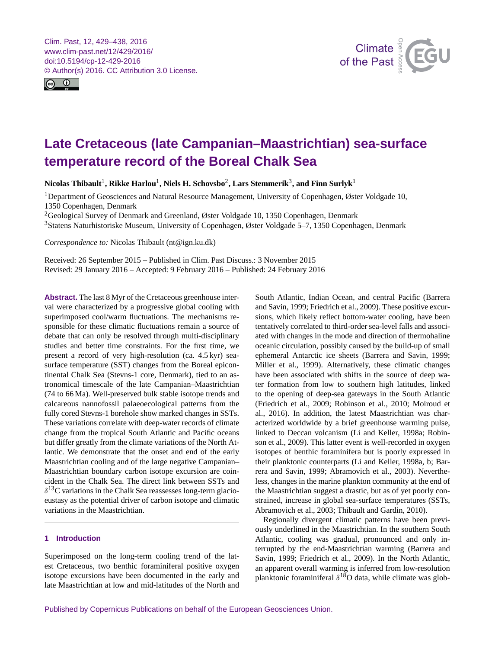<span id="page-0-1"></span>Clim. Past, 12, 429–438, 2016 www.clim-past.net/12/429/2016/ doi:10.5194/cp-12-429-2016 © Author(s) 2016. CC Attribution 3.0 License.





# **Late Cretaceous (late Campanian–Maastrichtian) sea-surface temperature record of the Boreal Chalk Sea**

 $\rm{Nicolas\ Thibault}^1$  $\rm{Nicolas\ Thibault}^1$ ,  $\rm{Rikke\ Harlou}^1, \rm{Niels\ H.\ Schovsbo}^2, \rm{Lars\ Stemmerik}^3, \rm{and\ Fin\ Surlyk}^1$  $\rm{Rikke\ Harlou}^1, \rm{Niels\ H.\ Schovsbo}^2, \rm{Lars\ Stemmerik}^3, \rm{and\ Fin\ Surlyk}^1$  $\rm{Rikke\ Harlou}^1, \rm{Niels\ H.\ Schovsbo}^2, \rm{Lars\ Stemmerik}^3, \rm{and\ Fin\ Surlyk}^1$  $\rm{Rikke\ Harlou}^1, \rm{Niels\ H.\ Schovsbo}^2, \rm{Lars\ Stemmerik}^3, \rm{and\ Fin\ Surlyk}^1$  $\rm{Rikke\ Harlou}^1, \rm{Niels\ H.\ Schovsbo}^2, \rm{Lars\ Stemmerik}^3, \rm{and\ Fin\ Surlyk}^1$ 

<sup>1</sup>Department of Geosciences and Natural Resource Management, University of Copenhagen, Øster Voldgade 10, 1350 Copenhagen, Denmark

<sup>2</sup>Geological Survey of Denmark and Greenland, Øster Voldgade 10, 1350 Copenhagen, Denmark <sup>3</sup>Statens Naturhistoriske Museum, University of Copenhagen, Øster Voldgade 5–7, 1350 Copenhagen, Denmark

*Correspondence to:* Nicolas Thibault (nt@ign.ku.dk)

Received: 26 September 2015 – Published in Clim. Past Discuss.: 3 November 2015 Revised: 29 January 2016 – Accepted: 9 February 2016 – Published: 24 February 2016

<span id="page-0-0"></span>**Abstract.** The last 8 Myr of the Cretaceous greenhouse interval were characterized by a progressive global cooling with superimposed cool/warm fluctuations. The mechanisms responsible for these climatic fluctuations remain a source of debate that can only be resolved through multi-disciplinary studies and better time constraints. For the first time, we present a record of very high-resolution (ca. 4.5 kyr) seasurface temperature (SST) changes from the Boreal epicontinental Chalk Sea (Stevns-1 core, Denmark), tied to an astronomical timescale of the late Campanian–Maastrichtian (74 to 66 Ma). Well-preserved bulk stable isotope trends and calcareous nannofossil palaeoecological patterns from the fully cored Stevns-1 borehole show marked changes in SSTs. These variations correlate with deep-water records of climate change from the tropical South Atlantic and Pacific oceans but differ greatly from the climate variations of the North Atlantic. We demonstrate that the onset and end of the early Maastrichtian cooling and of the large negative Campanian– Maastrichtian boundary carbon isotope excursion are coincident in the Chalk Sea. The direct link between SSTs and  $\delta^{13}$ C variations in the Chalk Sea reassesses long-term glacioeustasy as the potential driver of carbon isotope and climatic variations in the Maastrichtian.

# **1 Introduction**

Superimposed on the long-term cooling trend of the latest Cretaceous, two benthic foraminiferal positive oxygen isotope excursions have been documented in the early and late Maastrichtian at low and mid-latitudes of the North and South Atlantic, Indian Ocean, and central Pacific (Barrera and Savin, 1999; Friedrich et al., 2009). These positive excursions, which likely reflect bottom-water cooling, have been tentatively correlated to third-order sea-level falls and associated with changes in the mode and direction of thermohaline oceanic circulation, possibly caused by the build-up of small ephemeral Antarctic ice sheets (Barrera and Savin, 1999; Miller et al., 1999). Alternatively, these climatic changes have been associated with shifts in the source of deep water formation from low to southern high latitudes, linked to the opening of deep-sea gateways in the South Atlantic (Friedrich et al., 2009; Robinson et al., 2010; Moiroud et al., 2016). In addition, the latest Maastrichtian was characterized worldwide by a brief greenhouse warming pulse, linked to Deccan volcanism (Li and Keller, 1998a; Robinson et al., 2009). This latter event is well-recorded in oxygen isotopes of benthic foraminifera but is poorly expressed in their planktonic counterparts (Li and Keller, 1998a, b; Barrera and Savin, 1999; Abramovich et al., 2003). Nevertheless, changes in the marine plankton community at the end of the Maastrichtian suggest a drastic, but as of yet poorly constrained, increase in global sea-surface temperatures (SSTs, Abramovich et al., 2003; Thibault and Gardin, 2010).

Regionally divergent climatic patterns have been previously underlined in the Maastrichtian. In the southern South Atlantic, cooling was gradual, pronounced and only interrupted by the end-Maastrichtian warming (Barrera and Savin, 1999; Friedrich et al., 2009). In the North Atlantic, an apparent overall warming is inferred from low-resolution planktonic foraminiferal  $\delta^{18}$ O data, while climate was glob-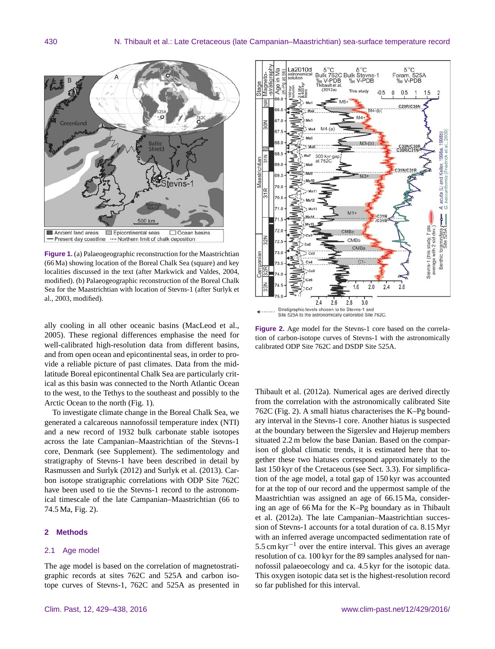

**Figure 1.** (a) Palaeogeographic reconstruction for the Maastrichtian (66 Ma) showing location of the Boreal Chalk Sea (square) and key localities discussed in the text (after Markwick and Valdes, 2004, modified). (b) Palaeogeographic reconstruction of the Boreal Chalk Sea for the Maastrichtian with location of Stevns-1 (after Surlyk et al., 2003, modified).

ally cooling in all other oceanic basins (MacLeod et al., 2005). These regional differences emphasise the need for well-calibrated high-resolution data from different basins, and from open ocean and epicontinental seas, in order to provide a reliable picture of past climates. Data from the midlatitude Boreal epicontinental Chalk Sea are particularly critical as this basin was connected to the North Atlantic Ocean to the west, to the Tethys to the southeast and possibly to the Arctic Ocean to the north (Fig. 1).

To investigate climate change in the Boreal Chalk Sea, we generated a calcareous nannofossil temperature index (NTI) and a new record of 1932 bulk carbonate stable isotopes across the late Campanian–Maastrichtian of the Stevns-1 core, Denmark (see Supplement). The sedimentology and stratigraphy of Stevns-1 have been described in detail by Rasmussen and Surlyk (2012) and Surlyk et al. (2013). Carbon isotope stratigraphic correlations with ODP Site 762C have been used to tie the Stevns-1 record to the astronomical timescale of the late Campanian–Maastrichtian (66 to 74.5 Ma, Fig. 2).

## **2 Methods**

### 2.1 Age model

The age model is based on the correlation of magnetostratigraphic records at sites 762C and 525A and carbon isotope curves of Stevns-1, 762C and 525A as presented in



**Figure 2.** Age model for the Stevns-1 core based on the correlation of carbon-isotope curves of Stevns-1 with the astronomically calibrated ODP Site 762C and DSDP Site 525A.

Thibault et al. (2012a). Numerical ages are derived directly from the correlation with the astronomically calibrated Site 762C (Fig. 2). A small hiatus characterises the K–Pg boundary interval in the Stevns-1 core. Another hiatus is suspected at the boundary between the Sigerslev and Højerup members situated 2.2 m below the base Danian. Based on the comparison of global climatic trends, it is estimated here that together these two hiatuses correspond approximately to the last 150 kyr of the Cretaceous (see Sect. 3.3). For simplification of the age model, a total gap of 150 kyr was accounted for at the top of our record and the uppermost sample of the Maastrichtian was assigned an age of 66.15 Ma, considering an age of 66 Ma for the K–Pg boundary as in Thibault et al. (2012a). The late Campanian–Maastrichtian succession of Stevns-1 accounts for a total duration of ca. 8.15 Myr with an inferred average uncompacted sedimentation rate of  $5.5 \text{ cm kyr}^{-1}$  over the entire interval. This gives an average resolution of ca. 100 kyr for the 89 samples analysed for nannofossil palaeoecology and ca. 4.5 kyr for the isotopic data. This oxygen isotopic data set is the highest-resolution record so far published for this interval.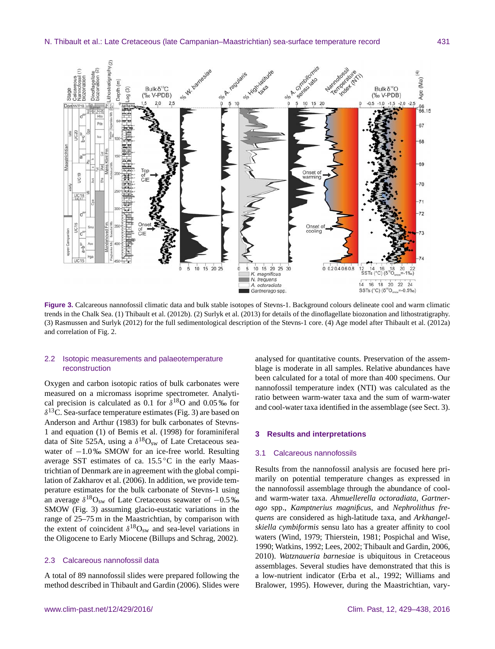

**Figure 3.** Calcareous nannofossil climatic data and bulk stable isotopes of Stevns-1. Background colours delineate cool and warm climatic trends in the Chalk Sea. (1) Thibault et al. (2012b). (2) Surlyk et al. (2013) for details of the dinoflagellate biozonation and lithostratigraphy. (3) Rasmussen and Surlyk (2012) for the full sedimentological description of the Stevns-1 core. (4) Age model after Thibault et al. (2012a) and correlation of Fig. 2.

# 2.2 Isotopic measurements and palaeotemperature reconstruction

Oxygen and carbon isotopic ratios of bulk carbonates were measured on a micromass isoprime spectrometer. Analytical precision is calculated as 0.1 for  $\delta^{18}$ O and 0.05 ‰ for  $\delta^{13}$ C. Sea-surface temperature estimates (Fig. 3) are based on Anderson and Arthur (1983) for bulk carbonates of Stevns-1 and equation (1) of Bemis et al. (1998) for foraminiferal data of Site 525A, using a  $\delta^{18}O_{sw}$  of Late Cretaceous seawater of −1.0‰ SMOW for an ice-free world. Resulting average SST estimates of ca.  $15.5\,^{\circ}\text{C}$  in the early Maastrichtian of Denmark are in agreement with the global compilation of Zakharov et al. (2006). In addition, we provide temperature estimates for the bulk carbonate of Stevns-1 using an average  $\delta^{18}O_{sw}$  of Late Cretaceous seawater of  $-0.5\%$ SMOW (Fig. 3) assuming glacio-eustatic variations in the range of 25–75 m in the Maastrichtian, by comparison with the extent of coincident  $\delta^{18}O_{sw}$  and sea-level variations in the Oligocene to Early Miocene (Billups and Schrag, 2002).

# 2.3 Calcareous nannofossil data

A total of 89 nannofossil slides were prepared following the method described in Thibault and Gardin (2006). Slides were

analysed for quantitative counts. Preservation of the assemblage is moderate in all samples. Relative abundances have been calculated for a total of more than 400 specimens. Our nannofossil temperature index (NTI) was calculated as the ratio between warm-water taxa and the sum of warm-water and cool-water taxa identified in the assemblage (see Sect. 3).

## **3 Results and interpretations**

#### 3.1 Calcareous nannofossils

Results from the nannofossil analysis are focused here primarily on potential temperature changes as expressed in the nannofossil assemblage through the abundance of cooland warm-water taxa. *Ahmuellerella octoradiata*, *Gartnerago* spp., *Kamptnerius magnificus*, and *Nephrolithus frequens* are considered as high-latitude taxa, and *Arkhangelskiella cymbiformis* sensu lato has a greater affinity to cool waters (Wind, 1979; Thierstein, 1981; Pospichal and Wise, 1990; Watkins, 1992; Lees, 2002; Thibault and Gardin, 2006, 2010). *Watznaueria barnesiae* is ubiquitous in Cretaceous assemblages. Several studies have demonstrated that this is a low-nutrient indicator (Erba et al., 1992; Williams and Bralower, 1995). However, during the Maastrichtian, vary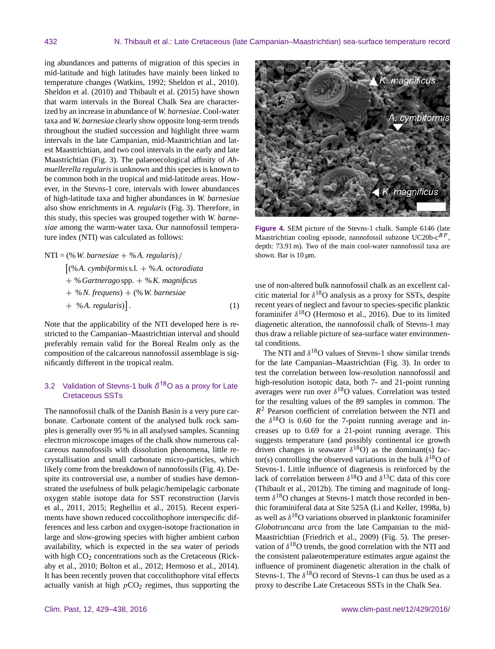ing abundances and patterns of migration of this species in mid-latitude and high latitudes have mainly been linked to temperature changes (Watkins, 1992; Sheldon et al., 2010). Sheldon et al. (2010) and Thibault et al. (2015) have shown that warm intervals in the Boreal Chalk Sea are characterized by an increase in abundance of *W. barnesiae*. Cool-water taxa and *W. barnesiae* clearly show opposite long-term trends throughout the studied succession and highlight three warm intervals in the late Campanian, mid-Maastrichtian and latest Maastrichtian, and two cool intervals in the early and late Maastrichtian (Fig. 3). The palaeoecological affinity of *Ahmuellerella regularis* is unknown and this species is known to be common both in the tropical and mid-latitude areas. However, in the Stevns-1 core, intervals with lower abundances of high-latitude taxa and higher abundances in *W. barnesiae* also show enrichments in *A. regularis* (Fig. 3). Therefore, in this study, this species was grouped together with *W. barnesiae* among the warm-water taxa. Our nannofossil temperature index (NTI) was calculated as follows:

$$
NTI = (\% W. barnesiae + %A. regularis) /\n[(%A. cymbiformis s.l. + %A. octoradiata+ % Gartnerago spp. + % K. magnificus+ % N. frequency) + (\% W. barnesiae+ % A. regularis)]. \n(1)
$$

Note that the applicability of the NTI developed here is restricted to the Campanian–Maastrichtian interval and should preferably remain valid for the Boreal Realm only as the composition of the calcareous nannofossil assemblage is significantly different in the tropical realm.

# 3.2 Validation of Stevns-1 bulk *δ* <sup>18</sup>O as a proxy for Late Cretaceous SSTs

The nannofossil chalk of the Danish Basin is a very pure carbonate. Carbonate content of the analysed bulk rock samples is generally over 95 % in all analysed samples. Scanning electron microscope images of the chalk show numerous calcareous nannofossils with dissolution phenomena, little recrystallisation and small carbonate micro-particles, which likely come from the breakdown of nannofossils (Fig. 4). Despite its controversial use, a number of studies have demonstrated the usefulness of bulk pelagic/hemipelagic carbonate oxygen stable isotope data for SST reconstruction (Jarvis et al., 2011, 2015; Reghellin et al., 2015). Recent experiments have shown reduced coccolithophore interspecific differences and less carbon and oxygen-isotope fractionation in large and slow-growing species with higher ambient carbon availability, which is expected in the sea water of periods with high CO<sub>2</sub> concentrations such as the Cretaceous (Rickaby et al., 2010; Bolton et al., 2012; Hermoso et al., 2014). It has been recently proven that coccolithophore vital effects actually vanish at high  $pCO<sub>2</sub>$  regimes, thus supporting the



**Figure 4.** SEM picture of the Stevns-1 chalk. Sample 6146 (late Maastrichtian cooling episode, nannofossil subzone UC20b-c $^{BP}$ , depth: 73.91 m). Two of the main cool-water nannofossil taxa are shown. Bar is  $10 \mu$ m.

use of non-altered bulk nannofossil chalk as an excellent calcitic material for  $\delta^{18}$ O analysis as a proxy for SSTs, despite recent years of neglect and favour to species-specific planktic foraminifer  $\delta^{18}O$  (Hermoso et al., 2016). Due to its limited diagenetic alteration, the nannofossil chalk of Stevns-1 may thus draw a reliable picture of sea-surface water environmental conditions.

The NTI and  $\delta^{18}$ O values of Stevns-1 show similar trends for the late Campanian–Maastrichtian (Fig. 3). In order to test the correlation between low-resolution nannofossil and high-resolution isotopic data, both 7- and 21-point running averages were run over  $\delta^{18}$ O values. Correlation was tested for the resulting values of the 89 samples in common. The  $R<sup>2</sup>$  Pearson coefficient of correlation between the NTI and the  $\delta^{18}$ O is 0.60 for the 7-point running average and increases up to 0.69 for a 21-point running average. This suggests temperature (and possibly continental ice growth driven changes in seawater  $\delta^{18}O$ ) as the dominant(s) factor(s) controlling the observed variations in the bulk  $\delta^{18}O$  of Stevns-1. Little influence of diagenesis is reinforced by the lack of correlation between  $\delta^{18}$ O and  $\delta^{13}$ C data of this core (Thibault et al., 2012b). The timing and magnitude of longterm  $\delta^{18}$ O changes at Stevns-1 match those recorded in benthic foraminiferal data at Site 525A (Li and Keller, 1998a, b) as well as  $\delta^{18}$ O variations observed in planktonic foraminifer *Globotruncana arca* from the late Campanian to the mid-Maastrichtian (Friedrich et al., 2009) (Fig. 5). The preservation of  $\delta^{18}$ O trends, the good correlation with the NTI and the consistent palaeotemperature estimates argue against the influence of prominent diagenetic alteration in the chalk of Stevns-1. The  $\delta^{18}O$  record of Stevns-1 can thus be used as a proxy to describe Late Cretaceous SSTs in the Chalk Sea.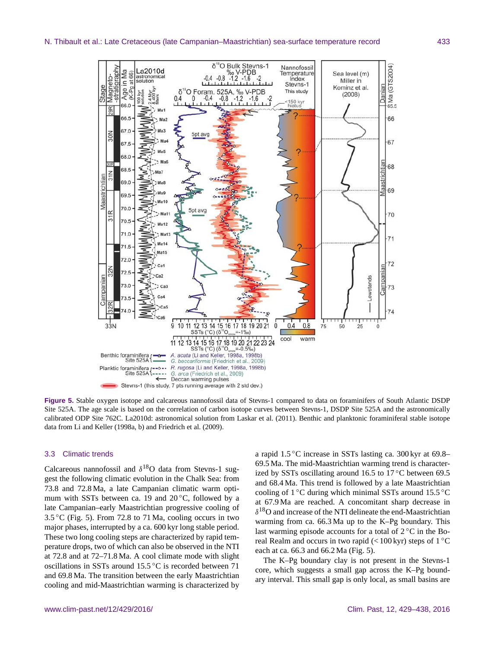

**Figure 5.** Stable oxygen isotope and calcareous nannofossil data of Stevns-1 compared to data on foraminifers of South Atlantic DSDP Site 525A. The age scale is based on the correlation of carbon isotope curves between Stevns-1, DSDP Site 525A and the astronomically calibrated ODP Site 762C. La2010d: astronomical solution from Laskar et al. (2011). Benthic and planktonic foraminiferal stable isotope data from Li and Keller (1998a, b) and Friedrich et al. (2009).

#### 3.3 Climatic trends

Calcareous nannofossil and  $\delta^{18}$ O data from Stevns-1 suggest the following climatic evolution in the Chalk Sea: from 73.8 and 72.8 Ma, a late Campanian climatic warm optimum with SSTs between ca. 19 and  $20^{\circ}$ C, followed by a late Campanian–early Maastrichtian progressive cooling of  $3.5\,^{\circ}$ C (Fig. 5). From 72.8 to 71 Ma, cooling occurs in two major phases, interrupted by a ca. 600 kyr long stable period. These two long cooling steps are characterized by rapid temperature drops, two of which can also be observed in the NTI at 72.8 and at 72–71.8 Ma. A cool climate mode with slight oscillations in SSTs around 15.5 ◦C is recorded between 71 and 69.8 Ma. The transition between the early Maastrichtian cooling and mid-Maastrichtian warming is characterized by a rapid 1.5 ◦C increase in SSTs lasting ca. 300 kyr at 69.8– 69.5 Ma. The mid-Maastrichtian warming trend is characterized by SSTs oscillating around 16.5 to 17 $\degree$ C between 69.5 and 68.4 Ma. This trend is followed by a late Maastrichtian cooling of 1 ◦C during which minimal SSTs around 15.5 ◦C at 67.9 Ma are reached. A concomitant sharp decrease in  $\delta^{18}$ O and increase of the NTI delineate the end-Maastrichtian warming from ca. 66.3 Ma up to the K–Pg boundary. This last warming episode accounts for a total of  $2^{\circ}C$  in the Boreal Realm and occurs in two rapid ( $< 100 \,\text{kyr}$ ) steps of  $1 \,^{\circ}\text{C}$ each at ca. 66.3 and 66.2 Ma (Fig. 5).

The K–Pg boundary clay is not present in the Stevns-1 core, which suggests a small gap across the K–Pg boundary interval. This small gap is only local, as small basins are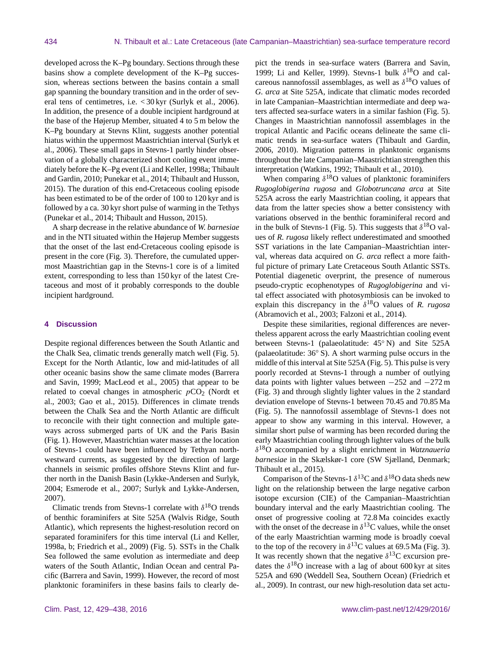developed across the K–Pg boundary. Sections through these basins show a complete development of the K–Pg succession, whereas sections between the basins contain a small gap spanning the boundary transition and in the order of several tens of centimetres, i.e. < 30 kyr (Surlyk et al., 2006). In addition, the presence of a double incipient hardground at the base of the Højerup Member, situated 4 to 5 m below the K–Pg boundary at Stevns Klint, suggests another potential hiatus within the uppermost Maastrichtian interval (Surlyk et al., 2006). These small gaps in Stevns-1 partly hinder observation of a globally characterized short cooling event immediately before the K–Pg event (Li and Keller, 1998a; Thibault and Gardin, 2010; Punekar et al., 2014; Thibault and Husson, 2015). The duration of this end-Cretaceous cooling episode has been estimated to be of the order of 100 to 120 kyr and is followed by a ca. 30 kyr short pulse of warming in the Tethys (Punekar et al., 2014; Thibault and Husson, 2015).

A sharp decrease in the relative abundance of *W. barnesiae* and in the NTI situated within the Højerup Member suggests that the onset of the last end-Cretaceous cooling episode is present in the core (Fig. 3). Therefore, the cumulated uppermost Maastrichtian gap in the Stevns-1 core is of a limited extent, corresponding to less than 150 kyr of the latest Cretaceous and most of it probably corresponds to the double incipient hardground.

#### **4 Discussion**

Despite regional differences between the South Atlantic and the Chalk Sea, climatic trends generally match well (Fig. 5). Except for the North Atlantic, low and mid-latitudes of all other oceanic basins show the same climate modes (Barrera and Savin, 1999; MacLeod et al., 2005) that appear to be related to coeval changes in atmospheric  $pCO<sub>2</sub>$  (Nordt et al., 2003; Gao et al., 2015). Differences in climate trends between the Chalk Sea and the North Atlantic are difficult to reconcile with their tight connection and multiple gateways across submerged parts of UK and the Paris Basin (Fig. 1). However, Maastrichtian water masses at the location of Stevns-1 could have been influenced by Tethyan northwestward currents, as suggested by the direction of large channels in seismic profiles offshore Stevns Klint and further north in the Danish Basin (Lykke-Andersen and Surlyk, 2004; Esmerode et al., 2007; Surlyk and Lykke-Andersen, 2007).

Climatic trends from Stevns-1 correlate with  $\delta^{18}O$  trends of benthic foraminifers at Site 525A (Walvis Ridge, South Atlantic), which represents the highest-resolution record on separated foraminifers for this time interval (Li and Keller, 1998a, b; Friedrich et al., 2009) (Fig. 5). SSTs in the Chalk Sea followed the same evolution as intermediate and deep waters of the South Atlantic, Indian Ocean and central Pacific (Barrera and Savin, 1999). However, the record of most planktonic foraminifers in these basins fails to clearly depict the trends in sea-surface waters (Barrera and Savin, 1999; Li and Keller, 1999). Stevns-1 bulk  $\delta^{18}O$  and calcareous nannofossil assemblages, as well as  $\delta^{18}$ O values of *G. arca* at Site 525A, indicate that climatic modes recorded in late Campanian–Maastrichtian intermediate and deep waters affected sea-surface waters in a similar fashion (Fig. 5). Changes in Maastrichtian nannofossil assemblages in the tropical Atlantic and Pacific oceans delineate the same climatic trends in sea-surface waters (Thibault and Gardin, 2006, 2010). Migration patterns in planktonic organisms throughout the late Campanian–Maastrichtian strengthen this interpretation (Watkins, 1992; Thibault et al., 2010).

When comparing  $\delta^{18}$ O values of planktonic foraminifers *Rugoglobigerina rugosa* and *Globotruncana arca* at Site 525A across the early Maastrichtian cooling, it appears that data from the latter species show a better consistency with variations observed in the benthic foraminiferal record and in the bulk of Stevns-1 (Fig. 5). This suggests that  $\delta^{18}O$  values of *R. rugosa* likely reflect underestimated and smoothed SST variations in the late Campanian–Maastrichtian interval, whereas data acquired on *G. arca* reflect a more faithful picture of primary Late Cretaceous South Atlantic SSTs. Potential diagenetic overprint, the presence of numerous pseudo-cryptic ecophenotypes of *Rugoglobigerina* and vital effect associated with photosymbiosis can be invoked to explain this discrepancy in the  $\delta^{18}$ O values of *R. rugosa* (Abramovich et al., 2003; Falzoni et al., 2014).

Despite these similarities, regional differences are nevertheless apparent across the early Maastrichtian cooling event between Stevns-1 (palaeolatitude: 45◦ N) and Site 525A (palaeolatitude: 36◦ S). A short warming pulse occurs in the middle of this interval at Site 525A (Fig. 5). This pulse is very poorly recorded at Stevns-1 through a number of outlying data points with lighter values between  $-252$  and  $-272$  m (Fig. 3) and through slightly lighter values in the 2 standard deviation envelope of Stevns-1 between 70.45 and 70.85 Ma (Fig. 5). The nannofossil assemblage of Stevns-1 does not appear to show any warming in this interval. However, a similar short pulse of warming has been recorded during the early Maastrichtian cooling through lighter values of the bulk δ <sup>18</sup>O accompanied by a slight enrichment in *Watznaueria barnesiae* in the Skælskør-1 core (SW Sjælland, Denmark; Thibault et al., 2015).

Comparison of the Stevns-1  $\delta^{13}$ C and  $\delta^{18}$ O data sheds new light on the relationship between the large negative carbon isotope excursion (CIE) of the Campanian–Maastrichtian boundary interval and the early Maastrichtian cooling. The onset of progressive cooling at 72.8 Ma coincides exactly with the onset of the decrease in  $\delta^{13}$ C values, while the onset of the early Maastrichtian warming mode is broadly coeval to the top of the recovery in  $\delta^{13}$ C values at 69.5 Ma (Fig. 3). It was recently shown that the negative  $\delta^{13}$ C excursion predates the  $\delta^{18}$ O increase with a lag of about 600 kyr at sites 525A and 690 (Weddell Sea, Southern Ocean) (Friedrich et al., 2009). In contrast, our new high-resolution data set actu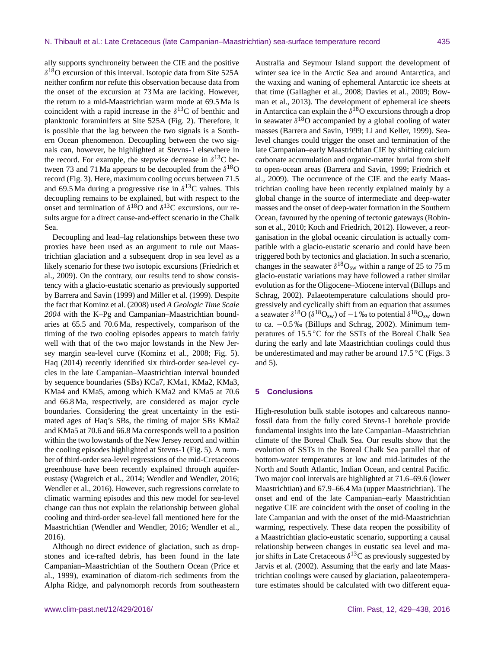ally supports synchroneity between the CIE and the positive  $\delta^{18}$ O excursion of this interval. Isotopic data from Site 525A neither confirm nor refute this observation because data from the onset of the excursion at 73 Ma are lacking. However, the return to a mid-Maastrichtian warm mode at 69.5 Ma is coincident with a rapid increase in the  $\delta^{13}$ C of benthic and planktonic foraminifers at Site 525A (Fig. 2). Therefore, it is possible that the lag between the two signals is a Southern Ocean phenomenon. Decoupling between the two signals can, however, be highlighted at Stevns-1 elsewhere in the record. For example, the stepwise decrease in  $\delta^{13}$ C between 73 and 71 Ma appears to be decoupled from the  $\delta^{18}O$ record (Fig. 3). Here, maximum cooling occurs between 71.5 and 69.5 Ma during a progressive rise in  $\delta^{13}$ C values. This decoupling remains to be explained, but with respect to the onset and termination of  $\delta^{18}$ O and  $\delta^{13}$ C excursions, our results argue for a direct cause-and-effect scenario in the Chalk Sea.

Decoupling and lead–lag relationships between these two proxies have been used as an argument to rule out Maastrichtian glaciation and a subsequent drop in sea level as a likely scenario for these two isotopic excursions (Friedrich et al., 2009). On the contrary, our results tend to show consistency with a glacio-eustatic scenario as previously supported by Barrera and Savin (1999) and Miller et al. (1999). Despite the fact that Kominz et al. (2008) used *A Geologic Time Scale 2004* with the K–Pg and Campanian–Maastrichtian boundaries at 65.5 and 70.6 Ma, respectively, comparison of the timing of the two cooling episodes appears to match fairly well with that of the two major lowstands in the New Jersey margin sea-level curve (Kominz et al., 2008; Fig. 5). Haq (2014) recently identified six third-order sea-level cycles in the late Campanian–Maastrichtian interval bounded by sequence boundaries (SBs) KCa7, KMa1, KMa2, KMa3, KMa4 and KMa5, among which KMa2 and KMa5 at 70.6 and 66.8 Ma, respectively, are considered as major cycle boundaries. Considering the great uncertainty in the estimated ages of Haq's SBs, the timing of major SBs KMa2 and KMa5 at 70.6 and 66.8 Ma corresponds well to a position within the two lowstands of the New Jersey record and within the cooling episodes highlighted at Stevns-1 (Fig. 5). A number of third-order sea-level regressions of the mid-Cretaceous greenhouse have been recently explained through aquifereustasy (Wagreich et al., 2014; Wendler and Wendler, 2016; Wendler et al., 2016). However, such regressions correlate to climatic warming episodes and this new model for sea-level change can thus not explain the relationship between global cooling and third-order sea-level fall mentioned here for the Maastrichtian (Wendler and Wendler, 2016; Wendler et al., 2016).

Although no direct evidence of glaciation, such as dropstones and ice-rafted debris, has been found in the late Campanian–Maastrichtian of the Southern Ocean (Price et al., 1999), examination of diatom-rich sediments from the Alpha Ridge, and palynomorph records from southeastern

Australia and Seymour Island support the development of winter sea ice in the Arctic Sea and around Antarctica, and the waxing and waning of ephemeral Antarctic ice sheets at that time (Gallagher et al., 2008; Davies et al., 2009; Bowman et al., 2013). The development of ephemeral ice sheets in Antarctica can explain the  $\delta^{18}$ O excursions through a drop in seawater  $\delta^{18}$ O accompanied by a global cooling of water masses (Barrera and Savin, 1999; Li and Keller, 1999). Sealevel changes could trigger the onset and termination of the late Campanian–early Maastrichtian CIE by shifting calcium carbonate accumulation and organic-matter burial from shelf to open-ocean areas (Barrera and Savin, 1999; Friedrich et al., 2009). The occurrence of the CIE and the early Maastrichtian cooling have been recently explained mainly by a global change in the source of intermediate and deep-water masses and the onset of deep-water formation in the Southern Ocean, favoured by the opening of tectonic gateways (Robinson et al., 2010; Koch and Friedrich, 2012). However, a reorganisation in the global oceanic circulation is actually compatible with a glacio-eustatic scenario and could have been triggered both by tectonics and glaciation. In such a scenario, changes in the seawater  $\delta^{18}O_{sw}$  within a range of 25 to 75 m glacio-eustatic variations may have followed a rather similar evolution as for the Oligocene–Miocene interval (Billups and Schrag, 2002). Palaeotemperature calculations should progressively and cyclically shift from an equation that assumes a seawater  $\delta^{18}O(\delta^{18}O_{sw})$  of  $-1$  ‰ to potential  $\delta^{18}O_{sw}$  down to ca. −0.5 ‰ (Billups and Schrag, 2002). Minimum temperatures of 15.5 ◦C for the SSTs of the Boreal Chalk Sea during the early and late Maastrichtian coolings could thus be underestimated and may rather be around 17.5 °C (Figs. 3 and 5).

# **5 Conclusions**

High-resolution bulk stable isotopes and calcareous nannofossil data from the fully cored Stevns-1 borehole provide fundamental insights into the late Campanian–Maastrichtian climate of the Boreal Chalk Sea. Our results show that the evolution of SSTs in the Boreal Chalk Sea parallel that of bottom-water temperatures at low and mid-latitudes of the North and South Atlantic, Indian Ocean, and central Pacific. Two major cool intervals are highlighted at 71.6–69.6 (lower Maastrichtian) and 67.9–66.4 Ma (upper Maastrichtian). The onset and end of the late Campanian–early Maastrichtian negative CIE are coincident with the onset of cooling in the late Campanian and with the onset of the mid-Maastrichtian warming, respectively. These data reopen the possibility of a Maastrichtian glacio-eustatic scenario, supporting a causal relationship between changes in eustatic sea level and major shifts in Late Cretaceous  $\delta^{13}$ C as previously suggested by Jarvis et al. (2002). Assuming that the early and late Maastrichtian coolings were caused by glaciation, palaeotemperature estimates should be calculated with two different equa-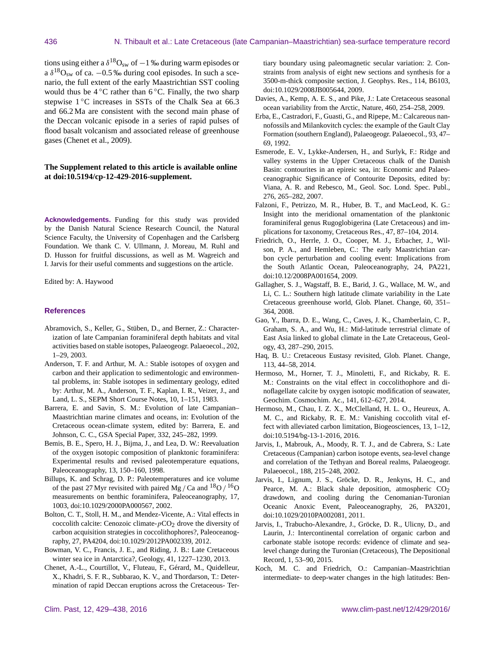tions using either a  $\delta^{18}O_{sw}$  of  $-1$  ‰ during warm episodes or a  $\delta^{18}O_{\text{sw}}$  of ca.  $-0.5$  ‰ during cool episodes. In such a scenario, the full extent of the early Maastrichtian SST cooling would thus be  $4 °C$  rather than  $6 °C$ . Finally, the two sharp stepwise 1 °C increases in SSTs of the Chalk Sea at 66.3 and 66.2 Ma are consistent with the second main phase of the Deccan volcanic episode in a series of rapid pulses of flood basalt volcanism and associated release of greenhouse gases (Chenet et al., 2009).

# **The Supplement related to this article is available online at [doi:10.5194/cp-12-429-2016-supplement.](http://dx.doi.org/10.5194/cp-12-429-2016-supplement)**

**Acknowledgements.** Funding for this study was provided by the Danish Natural Science Research Council, the Natural Science Faculty, the University of Copenhagen and the Carlsberg Foundation. We thank C. V. Ullmann, J. Moreau, M. Ruhl and D. Husson for fruitful discussions, as well as M. Wagreich and I. Jarvis for their useful comments and suggestions on the article.

Edited by: A. Haywood

#### **References**

- Abramovich, S., Keller, G., Stüben, D., and Berner, Z.: Characterization of late Campanian foraminiferal depth habitats and vital activities based on stable isotopes, Palaeogeogr. Palaeoecol., 202, 1–29, 2003.
- Anderson, T. F. and Arthur, M. A.: Stable isotopes of oxygen and carbon and their application to sedimentologic and environmental problems, in: Stable isotopes in sedimentary geology, edited by: Arthur, M. A., Anderson, T. F., Kaplan, I. R., Veizer, J., and Land, L. S., SEPM Short Course Notes, 10, 1–151, 1983.
- Barrera, E. and Savin, S. M.: Evolution of late Campanian– Maastrichtian marine climates and oceans, in: Evolution of the Cretaceous ocean-climate system, edited by: Barrera, E. and Johnson, C. C., GSA Special Paper, 332, 245–282, 1999.
- Bemis, B. E., Spero, H. J., Bijma, J., and Lea, D. W.: Reevaluation of the oxygen isotopic composition of planktonic foraminifera: Experimental results and revised paleotemperature equations, Paleoceanography, 13, 150–160, 1998.
- Billups, K. and Schrag, D. P.: Paleotemperatures and ice volume of the past 27 Myr revisited with paired Mg / Ca and  $18$ O /  $16$ O measurements on benthic foraminifera, Paleoceanography, 17, 1003, doi[:10.1029/2000PA000567,](http://dx.doi.org/10.1029/2000PA000567) 2002.
- Bolton, C. T., Stoll, H. M., and Mendez-Vicente, A.: Vital effects in coccolith calcite: Cenozoic climate- $pCO<sub>2</sub>$  drove the diversity of carbon acquisition strategies in coccolithophores?, Paleoceanography, 27, PA4204, doi[:10.1029/2012PA002339,](http://dx.doi.org/10.1029/2012PA002339) 2012.
- Bowman, V. C., Francis, J. E., and Riding, J. B.: Late Cretaceous winter sea ice in Antarctica?, Geology, 41, 1227–1230, 2013.
- Chenet, A.-L., Courtillot, V., Fluteau, F., Gérard, M., Quidelleur, X., Khadri, S. F. R., Subbarao, K. V., and Thordarson, T.: Determination of rapid Deccan eruptions across the Cretaceous- Ter-

tiary boundary using paleomagnetic secular variation: 2. Constraints from analysis of eight new sections and synthesis for a 3500-m-thick composite section, J. Geophys. Res., 114, B6103, doi[:10.1029/2008JB005644,](http://dx.doi.org/10.1029/2008JB005644) 2009.

- Davies, A., Kemp, A. E. S., and Pike, J.: Late Cretaceous seasonal ocean variability from the Arctic, Nature, 460, 254–258, 2009.
- Erba, E., Castradori, F., Guasti, G., and Ripepe, M.: Calcareous nannofossils and Milankovitch cycles: the example of the Gault Clay Formation (southern England), Palaeogeogr. Palaeoecol., 93, 47– 69, 1992.
- Esmerode, E. V., Lykke-Andersen, H., and Surlyk, F.: Ridge and valley systems in the Upper Cretaceous chalk of the Danish Basin: contourites in an epireic sea, in: Economic and Palaeoceanographic Significance of Contourite Deposits, edited by: Viana, A. R. and Rebesco, M., Geol. Soc. Lond. Spec. Publ., 276, 265–282, 2007.
- Falzoni, F., Petrizzo, M. R., Huber, B. T., and MacLeod, K. G.: Insight into the meridional ornamentation of the planktonic foraminiferal genus Rugoglobigerina (Late Cretaceous) and implications for taxonomy, Cretaceous Res., 47, 87–104, 2014.
- Friedrich, O., Herrle, J. O., Cooper, M. J., Erbacher, J., Wilson, P. A., and Hemleben, C.: The early Maastrichtian carbon cycle perturbation and cooling event: Implications from the South Atlantic Ocean, Paleoceanography, 24, PA221, doi[:10.12/2008PA001654,](http://dx.doi.org/10.12/2008PA001654) 2009.
- Gallagher, S. J., Wagstaff, B. E., Barid, J. G., Wallace, M. W., and Li, C. L.: Southern high latitude climate variability in the Late Cretaceous greenhouse world, Glob. Planet. Change, 60, 351– 364, 2008.
- Gao, Y., Ibarra, D. E., Wang, C., Caves, J. K., Chamberlain, C. P., Graham, S. A., and Wu, H.: Mid-latitude terrestrial climate of East Asia linked to global climate in the Late Cretaceous, Geology, 43, 287–290, 2015.
- Haq, B. U.: Cretaceous Eustasy revisited, Glob. Planet. Change, 113, 44–58, 2014.
- Hermoso, M., Horner, T. J., Minoletti, F., and Rickaby, R. E. M.: Constraints on the vital effect in coccolithophore and dinoflagellate calcite by oxygen isotopic modification of seawater, Geochim. Cosmochim. Ac., 141, 612–627, 2014.
- Hermoso, M., Chau, I. Z. X., McClelland, H. L. O., Heureux, A. M. C., and Rickaby, R. E. M.: Vanishing coccolith vital effect with alleviated carbon limitation, Biogeosciences, 13, 1–12, doi[:10.5194/bg-13-1-2016,](http://dx.doi.org/10.5194/bg-13-1-2016) 2016.
- Jarvis, I., Mabrouk, A., Moody, R. T. J., and de Cabrera, S.: Late Cretaceous (Campanian) carbon isotope events, sea-level change and correlation of the Tethyan and Boreal realms, Palaeogeogr. Palaeoecol., 188, 215–248, 2002.
- Jarvis, I., Lignum, J. S., Gröcke, D. R., Jenkyns, H. C., and Pearce, M. A.: Black shale deposition, atmospheric  $CO<sub>2</sub>$ drawdown, and cooling during the Cenomanian-Turonian Oceanic Anoxic Event, Paleoceanography, 26, PA3201, doi[:10.1029/2010PA002081,](http://dx.doi.org/10.1029/2010PA002081) 2011.
- Jarvis, I., Trabucho-Alexandre, J., Gröcke, D. R., Ulicny, D., and Laurin, J.: Intercontinental correlation of organic carbon and carbonate stable isotope records: evidence of climate and sealevel change during the Turonian (Cretaceous), The Depositional Record, 1, 53–90, 2015.
- Koch, M. C. and Friedrich, O.: Campanian–Maastrichtian intermediate- to deep-water changes in the high latitudes: Ben-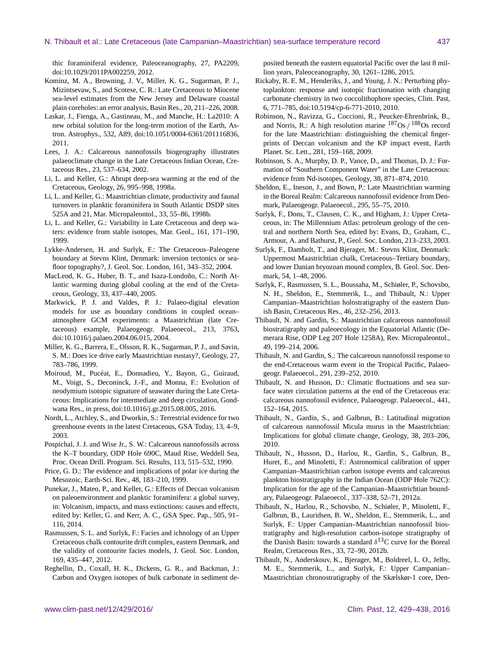thic foraminiferal evidence, Paleoceanography, 27, PA2209, doi[:10.1029/2011PA002259,](http://dx.doi.org/10.1029/2011PA002259) 2012.

- Kominz, M. A., Browning, J. V., Miller, K. G., Sugarman, P. J., Mizintsevaw, S., and Scotese, C. R.: Late Cretaceous to Miocene sea-level estimates from the New Jersey and Delaware coastal plain coreholes: an error analysis, Basin Res., 20, 211–226, 2008.
- Laskar, J., Fienga, A., Gastineau, M., and Manche, H.: La2010: A new orbital solution for the long-term motion of the Earth, Astron. Astrophys., 532, A89, doi[:10.1051/0004-6361/201116836,](http://dx.doi.org/10.1051/0004-6361/201116836) 2011.
- Lees, J. A.: Calcareous nannofossils biogeography illustrates palaeoclimate change in the Late Cretaceous Indian Ocean, Cretaceous Res., 23, 537–634, 2002.
- Li, L. and Keller, G.: Abrupt deep-sea warming at the end of the Cretaceous, Geology, 26, 995–998, 1998a.
- Li, L. and Keller, G.: Maastrichtian climate, productivity and faunal turnovers in planktic foraminifera in South Atlantic DSDP sites 525A and 21, Mar. Micropaleontol., 33, 55–86, 1998b.
- Li, L. and Keller, G.: Variability in Late Cretaceous and deep waters: evidence from stable isotopes, Mar. Geol., 161, 171–190, 1999.
- Lykke-Andersen, H. and Surlyk, F.: The Cretaceous–Paleogene boundary at Stevns Klint, Denmark: inversion tectonics or seafloor topography?, J. Geol. Soc. London, 161, 343–352, 2004.
- MacLeod, K. G., Huber, B. T., and Isaza-Londoño, C.: North Atlantic warming during global cooling at the end of the Cretaceous, Geology, 33, 437–440, 2005.
- Markwick, P. J. and Valdes, P. J.: Palaeo-digital elevation models for use as boundary conditions in coupled ocean– atmosphere GCM experiments: a Maastrichtian (late Cretaceous) example, Palaeogeogr. Palaeoecol., 213, 3763, doi[:10.1016/j.palaeo.2004.06.015,](http://dx.doi.org/10.1016/j.palaeo.2004.06.015) 2004.
- Miller, K. G., Barrera, E., Olsson, R. K., Sugarman, P. J., and Savin, S. M.: Does ice drive early Maastrichtian eustasy?, Geology, 27, 783–786, 1999.
- Moiroud, M., Pucéat, E., Donnadieu, Y., Bayon, G., Guiraud, M., Voigt, S., Deconinck, J.-F., and Monna, F.: Evolution of neodymium isotopic signature of seawater during the Late Cretaceous: Implications for intermediate and deep circulation, Gondwana Res., in press, doi[:10.1016/j.gr.2015.08.005,](http://dx.doi.org/10.1016/j.gr.2015.08.005) 2016.
- Nordt, L., Atchley, S., and Dworkin, S.: Terrestrial evidence for two greenhouse events in the latest Cretaceous, GSA Today, 13, 4–9, 2003.
- Pospichal, J. J. and Wise Jr., S. W.: Calcareous nannofossils across the K–T boundary, ODP Hole 690C, Maud Rise, Weddell Sea, Proc. Ocean Drill. Program. Sci. Results, 113, 515–532, 1990.
- Price, G. D.: The evidence and implications of polar ice during the Mesozoic, Earth-Sci. Rev., 48, 183–210, 1999.
- Punekar, J., Mateo, P., and Keller, G.: Effects of Deccan volcanism on paleoenvironment and planktic foraminifera: a global survey, in: Volcanism, impacts, and mass extinctions: causes and effects, edited by: Keller, G. and Kerr, A. C., GSA Spec. Pap., 505, 91– 116, 2014.
- Rasmussen, S. L. and Surlyk, F.: Facies and ichnology of an Upper Cretaceous chalk contourite drift complex, eastern Denmark, and the validity of contourite facies models, J. Geol. Soc. London, 169, 435–447, 2012.
- Reghellin, D., Coxall, H. K., Dickens, G. R., and Backman, J.: Carbon and Oxygen isotopes of bulk carbonate in sediment de-

posited beneath the eastern equatorial Pacific over the last 8 million years, Paleoceanography, 30, 1261–1286, 2015.

- Rickaby, R. E. M., Henderiks, J., and Young, J. N.: Perturbing phytoplankton: response and isotopic fractionation with changing carbonate chemistry in two coccolithophore species, Clim. Past, 6, 771–785, doi[:10.5194/cp-6-771-2010,](http://dx.doi.org/10.5194/cp-6-771-2010) 2010.
- Robinson, N., Ravizza, G., Coccioni, R., Peucker-Ehrenbrink, B., and Norris, R.: A high resolution marine  $187Os / 188Os$  record for the late Maastrichtian: distinguishing the chemical fingerprints of Deccan volcanism and the KP impact event, Earth Planet. Sc. Lett., 281, 159–168, 2009.
- Robinson, S. A., Murphy, D. P., Vance, D., and Thomas, D. J.: Formation of "Southern Component Water" in the Late Cretaceous: evidence from Nd-isotopes, Geology, 38, 871–874, 2010.
- Sheldon, E., Ineson, J., and Bown, P.: Late Maastrichtian warming in the Boreal Realm: Calcareous nannofossil evidence from Denmark, Palaeogeogr. Palaeoecol., 295, 55–75, 2010.
- Surlyk, F., Dons, T., Clausen, C. K., and Higham, J.: Upper Cretaceous, in: The Millennium Atlas: petroleum geology of the central and northern North Sea, edited by: Evans, D., Graham, C., Armour, A. and Bathurst, P., Geol. Soc. London, 213–233, 2003.
- Surlyk, F., Damholt, T., and Bjerager, M.: Stevns Klint, Denmark: Uppermost Maastrichtian chalk, Cretaceous–Tertiary boundary, and lower Danian bryozoan mound complex, B. Geol. Soc. Denmark, 54, 1–48, 2006.
- Surlyk, F., Rasmussen, S. L., Boussaha, M., Schiøler, P., Schovsbo, N. H., Sheldon, E., Stemmerik, L., and Thibault, N.: Upper Campanian–Maastrichtian holostratigraphy of the eastern Danish Basin, Cretaceous Res., 46, 232–256, 2013.
- Thibault, N. and Gardin, S.: Maastrichtian calcareous nannofossil biostratigraphy and paleoecology in the Equatorial Atlantic (Demerara Rise, ODP Leg 207 Hole 1258A), Rev. Micropaleontol., 49, 199–214, 2006.
- Thibault, N. and Gardin, S.: The calcareous nannofossil response to the end-Cretaceous warm event in the Tropical Pacific, Palaeogeogr. Palaeoecol., 291, 239–252, 2010.
- Thibault, N. and Husson, D.: Climatic fluctuations and sea surface water circulation patterns at the end of the Cretaceous era: calcareous nannofossil evidence, Palaeogeogr. Palaeoecol., 441, 152–164, 2015.
- Thibault, N., Gardin, S., and Galbrun, B.: Latitudinal migration of calcareous nannofossil Micula murus in the Maastrichtian: Implications for global climate change, Geology, 38, 203–206, 2010.
- Thibault, N., Husson, D., Harlou, R., Gardin, S., Galbrun, B., Huret, E., and Minoletti, F.: Astronomical calibration of upper Campanian–Maastrichtian carbon isotope events and calcareous plankton biostratigraphy in the Indian Ocean (ODP Hole 762C): Implication for the age of the Campanian–Maastrichtian boundary, Palaeogeogr. Palaeoecol., 337–338, 52–71, 2012a.
- Thibault, N., Harlou, R., Schovsbo, N., Schiøler, P., Minoletti, F., Galbrun, B., Lauridsen, B. W., Sheldon, E., Stemmerik, L., and Surlyk, F.: Upper Campanian–Maastrichtian nannofossil biostratigraphy and high-resolution carbon-isotope stratigraphy of the Danish Basin: towards a standard  $\delta^{13}$ C curve for the Boreal Realm, Cretaceous Res., 33, 72–90, 2012b.
- Thibault, N., Anderskouv, K., Bjerager, M., Boldreel, L. O., Jelby, M. E., Stemmerik, L., and Surlyk, F.: Upper Campanian– Maastrichtian chronostratigraphy of the Skælskør-1 core, Den-